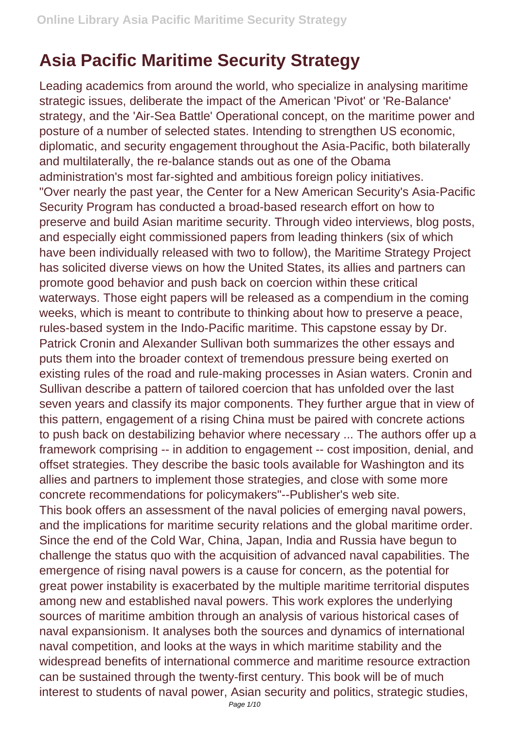## **Asia Pacific Maritime Security Strategy**

Leading academics from around the world, who specialize in analysing maritime strategic issues, deliberate the impact of the American 'Pivot' or 'Re-Balance' strategy, and the 'Air-Sea Battle' Operational concept, on the maritime power and posture of a number of selected states. Intending to strengthen US economic, diplomatic, and security engagement throughout the Asia-Pacific, both bilaterally and multilaterally, the re-balance stands out as one of the Obama administration's most far-sighted and ambitious foreign policy initiatives. "Over nearly the past year, the Center for a New American Security's Asia-Pacific Security Program has conducted a broad-based research effort on how to preserve and build Asian maritime security. Through video interviews, blog posts, and especially eight commissioned papers from leading thinkers (six of which have been individually released with two to follow), the Maritime Strategy Project has solicited diverse views on how the United States, its allies and partners can promote good behavior and push back on coercion within these critical waterways. Those eight papers will be released as a compendium in the coming weeks, which is meant to contribute to thinking about how to preserve a peace, rules-based system in the Indo-Pacific maritime. This capstone essay by Dr. Patrick Cronin and Alexander Sullivan both summarizes the other essays and puts them into the broader context of tremendous pressure being exerted on existing rules of the road and rule-making processes in Asian waters. Cronin and Sullivan describe a pattern of tailored coercion that has unfolded over the last seven years and classify its major components. They further argue that in view of this pattern, engagement of a rising China must be paired with concrete actions to push back on destabilizing behavior where necessary ... The authors offer up a framework comprising -- in addition to engagement -- cost imposition, denial, and offset strategies. They describe the basic tools available for Washington and its allies and partners to implement those strategies, and close with some more concrete recommendations for policymakers"--Publisher's web site. This book offers an assessment of the naval policies of emerging naval powers, and the implications for maritime security relations and the global maritime order. Since the end of the Cold War, China, Japan, India and Russia have begun to challenge the status quo with the acquisition of advanced naval capabilities. The emergence of rising naval powers is a cause for concern, as the potential for great power instability is exacerbated by the multiple maritime territorial disputes among new and established naval powers. This work explores the underlying sources of maritime ambition through an analysis of various historical cases of naval expansionism. It analyses both the sources and dynamics of international naval competition, and looks at the ways in which maritime stability and the widespread benefits of international commerce and maritime resource extraction can be sustained through the twenty-first century. This book will be of much interest to students of naval power, Asian security and politics, strategic studies,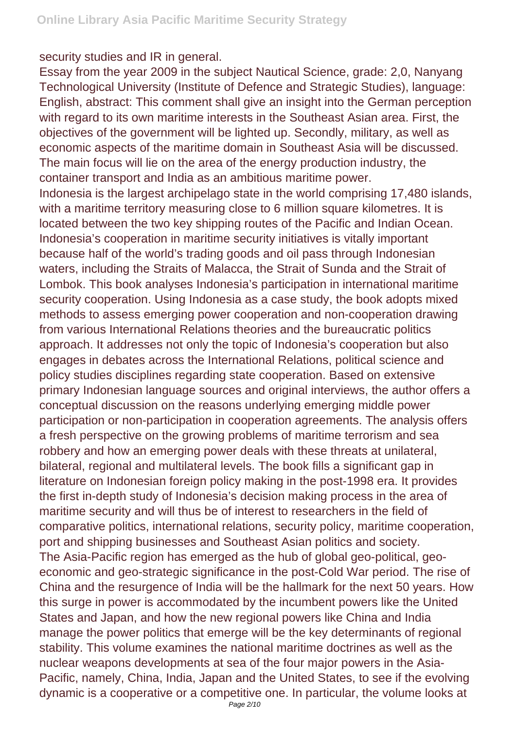security studies and IR in general.

Essay from the year 2009 in the subject Nautical Science, grade: 2,0, Nanyang Technological University (Institute of Defence and Strategic Studies), language: English, abstract: This comment shall give an insight into the German perception with regard to its own maritime interests in the Southeast Asian area. First, the objectives of the government will be lighted up. Secondly, military, as well as economic aspects of the maritime domain in Southeast Asia will be discussed. The main focus will lie on the area of the energy production industry, the container transport and India as an ambitious maritime power. Indonesia is the largest archipelago state in the world comprising 17,480 islands, with a maritime territory measuring close to 6 million square kilometres. It is located between the two key shipping routes of the Pacific and Indian Ocean. Indonesia's cooperation in maritime security initiatives is vitally important because half of the world's trading goods and oil pass through Indonesian waters, including the Straits of Malacca, the Strait of Sunda and the Strait of Lombok. This book analyses Indonesia's participation in international maritime security cooperation. Using Indonesia as a case study, the book adopts mixed methods to assess emerging power cooperation and non-cooperation drawing from various International Relations theories and the bureaucratic politics approach. It addresses not only the topic of Indonesia's cooperation but also engages in debates across the International Relations, political science and policy studies disciplines regarding state cooperation. Based on extensive primary Indonesian language sources and original interviews, the author offers a conceptual discussion on the reasons underlying emerging middle power participation or non-participation in cooperation agreements. The analysis offers a fresh perspective on the growing problems of maritime terrorism and sea robbery and how an emerging power deals with these threats at unilateral, bilateral, regional and multilateral levels. The book fills a significant gap in literature on Indonesian foreign policy making in the post-1998 era. It provides the first in-depth study of Indonesia's decision making process in the area of maritime security and will thus be of interest to researchers in the field of comparative politics, international relations, security policy, maritime cooperation, port and shipping businesses and Southeast Asian politics and society. The Asia-Pacific region has emerged as the hub of global geo-political, geoeconomic and geo-strategic significance in the post-Cold War period. The rise of China and the resurgence of India will be the hallmark for the next 50 years. How this surge in power is accommodated by the incumbent powers like the United States and Japan, and how the new regional powers like China and India manage the power politics that emerge will be the key determinants of regional stability. This volume examines the national maritime doctrines as well as the nuclear weapons developments at sea of the four major powers in the Asia-Pacific, namely, China, India, Japan and the United States, to see if the evolving dynamic is a cooperative or a competitive one. In particular, the volume looks at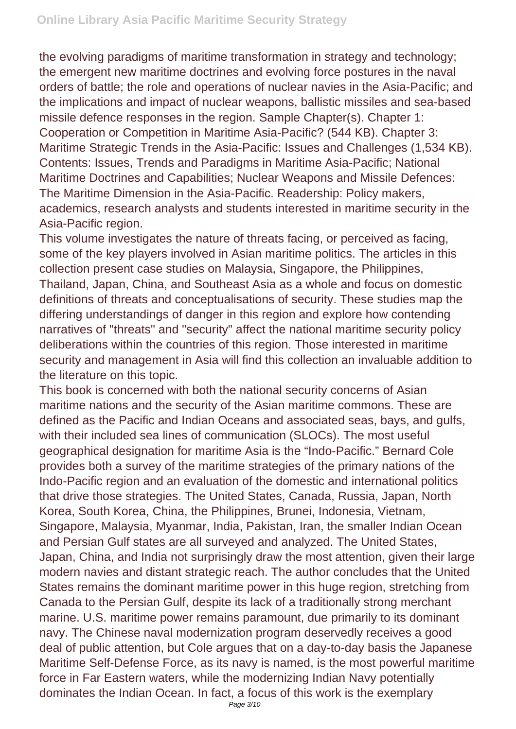the evolving paradigms of maritime transformation in strategy and technology; the emergent new maritime doctrines and evolving force postures in the naval orders of battle; the role and operations of nuclear navies in the Asia-Pacific; and the implications and impact of nuclear weapons, ballistic missiles and sea-based missile defence responses in the region. Sample Chapter(s). Chapter 1: Cooperation or Competition in Maritime Asia-Pacific? (544 KB). Chapter 3: Maritime Strategic Trends in the Asia-Pacific: Issues and Challenges (1,534 KB). Contents: Issues, Trends and Paradigms in Maritime Asia-Pacific; National Maritime Doctrines and Capabilities; Nuclear Weapons and Missile Defences: The Maritime Dimension in the Asia-Pacific. Readership: Policy makers, academics, research analysts and students interested in maritime security in the Asia-Pacific region.

This volume investigates the nature of threats facing, or perceived as facing, some of the key players involved in Asian maritime politics. The articles in this collection present case studies on Malaysia, Singapore, the Philippines, Thailand, Japan, China, and Southeast Asia as a whole and focus on domestic definitions of threats and conceptualisations of security. These studies map the differing understandings of danger in this region and explore how contending narratives of "threats" and "security" affect the national maritime security policy deliberations within the countries of this region. Those interested in maritime security and management in Asia will find this collection an invaluable addition to the literature on this topic.

This book is concerned with both the national security concerns of Asian maritime nations and the security of the Asian maritime commons. These are defined as the Pacific and Indian Oceans and associated seas, bays, and gulfs, with their included sea lines of communication (SLOCs). The most useful geographical designation for maritime Asia is the "Indo-Pacific." Bernard Cole provides both a survey of the maritime strategies of the primary nations of the Indo-Pacific region and an evaluation of the domestic and international politics that drive those strategies. The United States, Canada, Russia, Japan, North Korea, South Korea, China, the Philippines, Brunei, Indonesia, Vietnam, Singapore, Malaysia, Myanmar, India, Pakistan, Iran, the smaller Indian Ocean and Persian Gulf states are all surveyed and analyzed. The United States, Japan, China, and India not surprisingly draw the most attention, given their large modern navies and distant strategic reach. The author concludes that the United States remains the dominant maritime power in this huge region, stretching from Canada to the Persian Gulf, despite its lack of a traditionally strong merchant marine. U.S. maritime power remains paramount, due primarily to its dominant navy. The Chinese naval modernization program deservedly receives a good deal of public attention, but Cole argues that on a day-to-day basis the Japanese Maritime Self-Defense Force, as its navy is named, is the most powerful maritime force in Far Eastern waters, while the modernizing Indian Navy potentially dominates the Indian Ocean. In fact, a focus of this work is the exemplary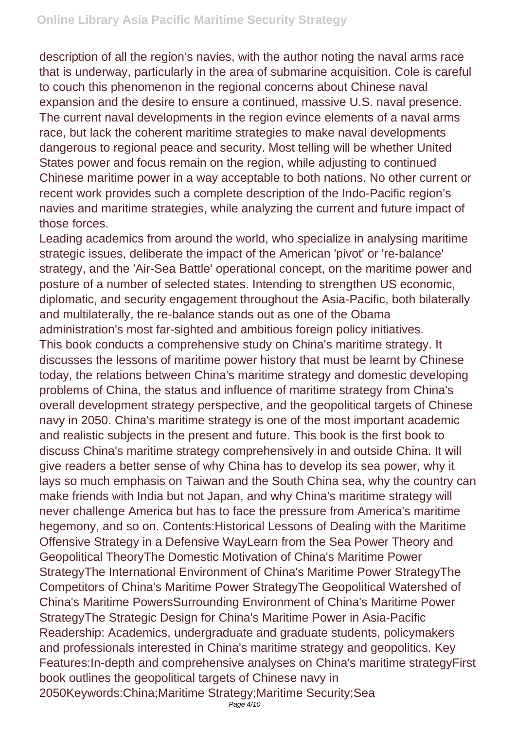description of all the region's navies, with the author noting the naval arms race that is underway, particularly in the area of submarine acquisition. Cole is careful to couch this phenomenon in the regional concerns about Chinese naval expansion and the desire to ensure a continued, massive U.S. naval presence. The current naval developments in the region evince elements of a naval arms race, but lack the coherent maritime strategies to make naval developments dangerous to regional peace and security. Most telling will be whether United States power and focus remain on the region, while adjusting to continued Chinese maritime power in a way acceptable to both nations. No other current or recent work provides such a complete description of the Indo-Pacific region's navies and maritime strategies, while analyzing the current and future impact of those forces.

Leading academics from around the world, who specialize in analysing maritime strategic issues, deliberate the impact of the American 'pivot' or 're-balance' strategy, and the 'Air-Sea Battle' operational concept, on the maritime power and posture of a number of selected states. Intending to strengthen US economic, diplomatic, and security engagement throughout the Asia-Pacific, both bilaterally and multilaterally, the re-balance stands out as one of the Obama administration's most far-sighted and ambitious foreign policy initiatives. This book conducts a comprehensive study on China's maritime strategy. It discusses the lessons of maritime power history that must be learnt by Chinese today, the relations between China's maritime strategy and domestic developing problems of China, the status and influence of maritime strategy from China's overall development strategy perspective, and the geopolitical targets of Chinese navy in 2050. China's maritime strategy is one of the most important academic and realistic subjects in the present and future. This book is the first book to discuss China's maritime strategy comprehensively in and outside China. It will give readers a better sense of why China has to develop its sea power, why it lays so much emphasis on Taiwan and the South China sea, why the country can make friends with India but not Japan, and why China's maritime strategy will never challenge America but has to face the pressure from America's maritime hegemony, and so on. Contents:Historical Lessons of Dealing with the Maritime Offensive Strategy in a Defensive WayLearn from the Sea Power Theory and Geopolitical TheoryThe Domestic Motivation of China's Maritime Power StrategyThe International Environment of China's Maritime Power StrategyThe Competitors of China's Maritime Power StrategyThe Geopolitical Watershed of China's Maritime PowersSurrounding Environment of China's Maritime Power StrategyThe Strategic Design for China's Maritime Power in Asia-Pacific Readership: Academics, undergraduate and graduate students, policymakers and professionals interested in China's maritime strategy and geopolitics. Key Features:In-depth and comprehensive analyses on China's maritime strategyFirst book outlines the geopolitical targets of Chinese navy in 2050Keywords:China;Maritime Strategy;Maritime Security;Sea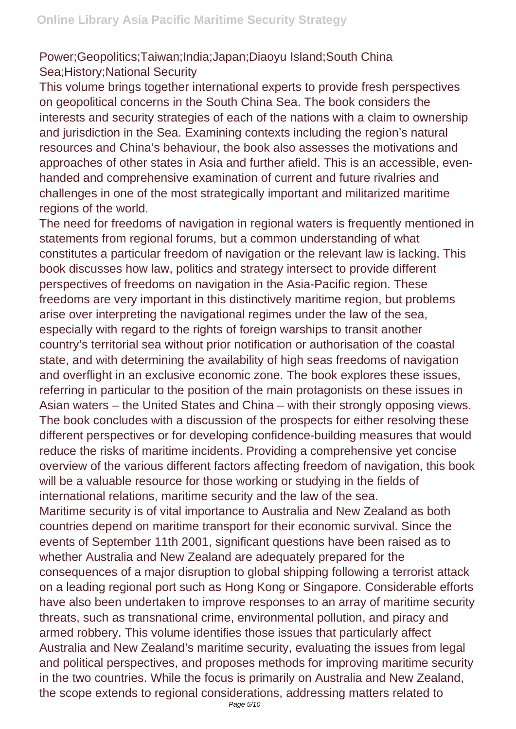Power;Geopolitics;Taiwan;India;Japan;Diaoyu Island;South China Sea;History;National Security

This volume brings together international experts to provide fresh perspectives on geopolitical concerns in the South China Sea. The book considers the interests and security strategies of each of the nations with a claim to ownership and jurisdiction in the Sea. Examining contexts including the region's natural resources and China's behaviour, the book also assesses the motivations and approaches of other states in Asia and further afield. This is an accessible, evenhanded and comprehensive examination of current and future rivalries and challenges in one of the most strategically important and militarized maritime regions of the world.

The need for freedoms of navigation in regional waters is frequently mentioned in statements from regional forums, but a common understanding of what constitutes a particular freedom of navigation or the relevant law is lacking. This book discusses how law, politics and strategy intersect to provide different perspectives of freedoms on navigation in the Asia-Pacific region. These freedoms are very important in this distinctively maritime region, but problems arise over interpreting the navigational regimes under the law of the sea, especially with regard to the rights of foreign warships to transit another country's territorial sea without prior notification or authorisation of the coastal state, and with determining the availability of high seas freedoms of navigation and overflight in an exclusive economic zone. The book explores these issues, referring in particular to the position of the main protagonists on these issues in Asian waters – the United States and China – with their strongly opposing views. The book concludes with a discussion of the prospects for either resolving these different perspectives or for developing confidence-building measures that would reduce the risks of maritime incidents. Providing a comprehensive yet concise overview of the various different factors affecting freedom of navigation, this book will be a valuable resource for those working or studying in the fields of international relations, maritime security and the law of the sea.

Maritime security is of vital importance to Australia and New Zealand as both countries depend on maritime transport for their economic survival. Since the events of September 11th 2001, significant questions have been raised as to whether Australia and New Zealand are adequately prepared for the consequences of a major disruption to global shipping following a terrorist attack on a leading regional port such as Hong Kong or Singapore. Considerable efforts have also been undertaken to improve responses to an array of maritime security threats, such as transnational crime, environmental pollution, and piracy and armed robbery. This volume identifies those issues that particularly affect Australia and New Zealand's maritime security, evaluating the issues from legal and political perspectives, and proposes methods for improving maritime security in the two countries. While the focus is primarily on Australia and New Zealand, the scope extends to regional considerations, addressing matters related to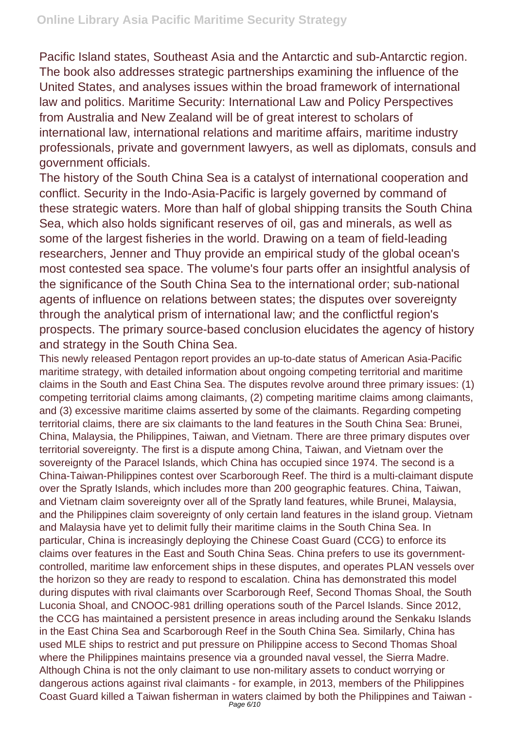Pacific Island states, Southeast Asia and the Antarctic and sub-Antarctic region. The book also addresses strategic partnerships examining the influence of the United States, and analyses issues within the broad framework of international law and politics. Maritime Security: International Law and Policy Perspectives from Australia and New Zealand will be of great interest to scholars of international law, international relations and maritime affairs, maritime industry professionals, private and government lawyers, as well as diplomats, consuls and government officials.

The history of the South China Sea is a catalyst of international cooperation and conflict. Security in the Indo-Asia-Pacific is largely governed by command of these strategic waters. More than half of global shipping transits the South China Sea, which also holds significant reserves of oil, gas and minerals, as well as some of the largest fisheries in the world. Drawing on a team of field-leading researchers, Jenner and Thuy provide an empirical study of the global ocean's most contested sea space. The volume's four parts offer an insightful analysis of the significance of the South China Sea to the international order; sub-national agents of influence on relations between states; the disputes over sovereignty through the analytical prism of international law; and the conflictful region's prospects. The primary source-based conclusion elucidates the agency of history and strategy in the South China Sea.

This newly released Pentagon report provides an up-to-date status of American Asia-Pacific maritime strategy, with detailed information about ongoing competing territorial and maritime claims in the South and East China Sea. The disputes revolve around three primary issues: (1) competing territorial claims among claimants, (2) competing maritime claims among claimants, and (3) excessive maritime claims asserted by some of the claimants. Regarding competing territorial claims, there are six claimants to the land features in the South China Sea: Brunei, China, Malaysia, the Philippines, Taiwan, and Vietnam. There are three primary disputes over territorial sovereignty. The first is a dispute among China, Taiwan, and Vietnam over the sovereignty of the Paracel Islands, which China has occupied since 1974. The second is a China-Taiwan-Philippines contest over Scarborough Reef. The third is a multi-claimant dispute over the Spratly Islands, which includes more than 200 geographic features. China, Taiwan, and Vietnam claim sovereignty over all of the Spratly land features, while Brunei, Malaysia, and the Philippines claim sovereignty of only certain land features in the island group. Vietnam and Malaysia have yet to delimit fully their maritime claims in the South China Sea. In particular, China is increasingly deploying the Chinese Coast Guard (CCG) to enforce its claims over features in the East and South China Seas. China prefers to use its governmentcontrolled, maritime law enforcement ships in these disputes, and operates PLAN vessels over the horizon so they are ready to respond to escalation. China has demonstrated this model during disputes with rival claimants over Scarborough Reef, Second Thomas Shoal, the South Luconia Shoal, and CNOOC-981 drilling operations south of the Parcel Islands. Since 2012, the CCG has maintained a persistent presence in areas including around the Senkaku Islands in the East China Sea and Scarborough Reef in the South China Sea. Similarly, China has used MLE ships to restrict and put pressure on Philippine access to Second Thomas Shoal where the Philippines maintains presence via a grounded naval vessel, the Sierra Madre. Although China is not the only claimant to use non-military assets to conduct worrying or dangerous actions against rival claimants - for example, in 2013, members of the Philippines Coast Guard killed a Taiwan fisherman in waters claimed by both the Philippines and Taiwan -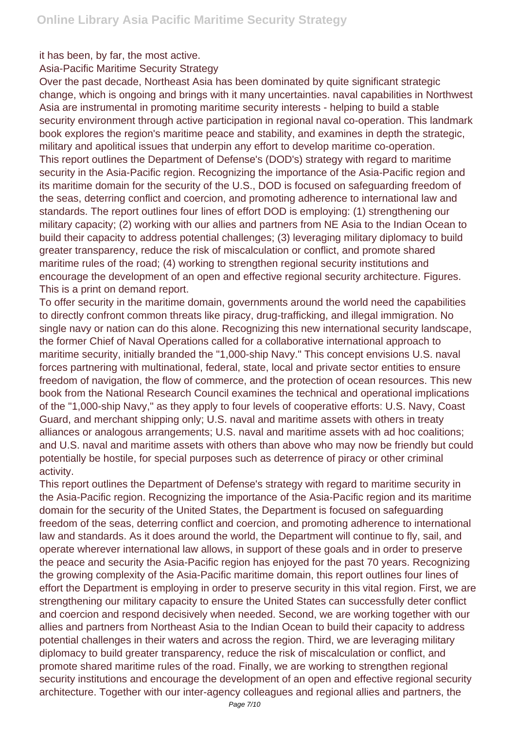it has been, by far, the most active.

Asia-Pacific Maritime Security Strategy

Over the past decade, Northeast Asia has been dominated by quite significant strategic change, which is ongoing and brings with it many uncertainties. naval capabilities in Northwest Asia are instrumental in promoting maritime security interests - helping to build a stable security environment through active participation in regional naval co-operation. This landmark book explores the region's maritime peace and stability, and examines in depth the strategic, military and apolitical issues that underpin any effort to develop maritime co-operation. This report outlines the Department of Defense's (DOD's) strategy with regard to maritime security in the Asia-Pacific region. Recognizing the importance of the Asia-Pacific region and its maritime domain for the security of the U.S., DOD is focused on safeguarding freedom of the seas, deterring conflict and coercion, and promoting adherence to international law and standards. The report outlines four lines of effort DOD is employing: (1) strengthening our military capacity; (2) working with our allies and partners from NE Asia to the Indian Ocean to build their capacity to address potential challenges; (3) leveraging military diplomacy to build greater transparency, reduce the risk of miscalculation or conflict, and promote shared maritime rules of the road; (4) working to strengthen regional security institutions and encourage the development of an open and effective regional security architecture. Figures. This is a print on demand report.

To offer security in the maritime domain, governments around the world need the capabilities to directly confront common threats like piracy, drug-trafficking, and illegal immigration. No single navy or nation can do this alone. Recognizing this new international security landscape, the former Chief of Naval Operations called for a collaborative international approach to maritime security, initially branded the "1,000-ship Navy." This concept envisions U.S. naval forces partnering with multinational, federal, state, local and private sector entities to ensure freedom of navigation, the flow of commerce, and the protection of ocean resources. This new book from the National Research Council examines the technical and operational implications of the "1,000-ship Navy," as they apply to four levels of cooperative efforts: U.S. Navy, Coast Guard, and merchant shipping only; U.S. naval and maritime assets with others in treaty alliances or analogous arrangements; U.S. naval and maritime assets with ad hoc coalitions; and U.S. naval and maritime assets with others than above who may now be friendly but could potentially be hostile, for special purposes such as deterrence of piracy or other criminal activity.

This report outlines the Department of Defense's strategy with regard to maritime security in the Asia-Pacific region. Recognizing the importance of the Asia-Pacific region and its maritime domain for the security of the United States, the Department is focused on safeguarding freedom of the seas, deterring conflict and coercion, and promoting adherence to international law and standards. As it does around the world, the Department will continue to fly, sail, and operate wherever international law allows, in support of these goals and in order to preserve the peace and security the Asia-Pacific region has enjoyed for the past 70 years. Recognizing the growing complexity of the Asia-Pacific maritime domain, this report outlines four lines of effort the Department is employing in order to preserve security in this vital region. First, we are strengthening our military capacity to ensure the United States can successfully deter conflict and coercion and respond decisively when needed. Second, we are working together with our allies and partners from Northeast Asia to the Indian Ocean to build their capacity to address potential challenges in their waters and across the region. Third, we are leveraging military diplomacy to build greater transparency, reduce the risk of miscalculation or conflict, and promote shared maritime rules of the road. Finally, we are working to strengthen regional security institutions and encourage the development of an open and effective regional security architecture. Together with our inter-agency colleagues and regional allies and partners, the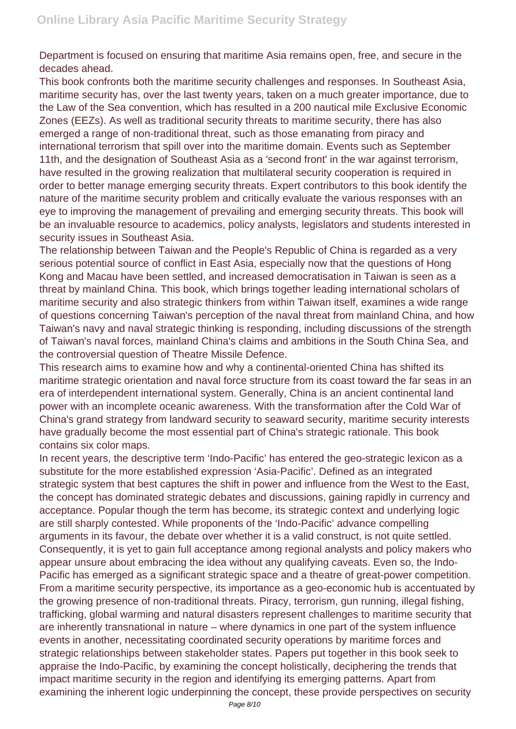Department is focused on ensuring that maritime Asia remains open, free, and secure in the decades ahead.

This book confronts both the maritime security challenges and responses. In Southeast Asia, maritime security has, over the last twenty years, taken on a much greater importance, due to the Law of the Sea convention, which has resulted in a 200 nautical mile Exclusive Economic Zones (EEZs). As well as traditional security threats to maritime security, there has also emerged a range of non-traditional threat, such as those emanating from piracy and international terrorism that spill over into the maritime domain. Events such as September 11th, and the designation of Southeast Asia as a 'second front' in the war against terrorism, have resulted in the growing realization that multilateral security cooperation is required in order to better manage emerging security threats. Expert contributors to this book identify the nature of the maritime security problem and critically evaluate the various responses with an eye to improving the management of prevailing and emerging security threats. This book will be an invaluable resource to academics, policy analysts, legislators and students interested in security issues in Southeast Asia.

The relationship between Taiwan and the People's Republic of China is regarded as a very serious potential source of conflict in East Asia, especially now that the questions of Hong Kong and Macau have been settled, and increased democratisation in Taiwan is seen as a threat by mainland China. This book, which brings together leading international scholars of maritime security and also strategic thinkers from within Taiwan itself, examines a wide range of questions concerning Taiwan's perception of the naval threat from mainland China, and how Taiwan's navy and naval strategic thinking is responding, including discussions of the strength of Taiwan's naval forces, mainland China's claims and ambitions in the South China Sea, and the controversial question of Theatre Missile Defence.

This research aims to examine how and why a continental-oriented China has shifted its maritime strategic orientation and naval force structure from its coast toward the far seas in an era of interdependent international system. Generally, China is an ancient continental land power with an incomplete oceanic awareness. With the transformation after the Cold War of China's grand strategy from landward security to seaward security, maritime security interests have gradually become the most essential part of China's strategic rationale. This book contains six color maps.

In recent years, the descriptive term 'Indo-Pacific' has entered the geo-strategic lexicon as a substitute for the more established expression 'Asia-Pacific'. Defined as an integrated strategic system that best captures the shift in power and influence from the West to the East, the concept has dominated strategic debates and discussions, gaining rapidly in currency and acceptance. Popular though the term has become, its strategic context and underlying logic are still sharply contested. While proponents of the 'Indo-Pacific' advance compelling arguments in its favour, the debate over whether it is a valid construct, is not quite settled. Consequently, it is yet to gain full acceptance among regional analysts and policy makers who appear unsure about embracing the idea without any qualifying caveats. Even so, the Indo-Pacific has emerged as a significant strategic space and a theatre of great-power competition. From a maritime security perspective, its importance as a geo-economic hub is accentuated by the growing presence of non-traditional threats. Piracy, terrorism, gun running, illegal fishing, trafficking, global warming and natural disasters represent challenges to maritime security that are inherently transnational in nature – where dynamics in one part of the system influence events in another, necessitating coordinated security operations by maritime forces and strategic relationships between stakeholder states. Papers put together in this book seek to appraise the Indo-Pacific, by examining the concept holistically, deciphering the trends that impact maritime security in the region and identifying its emerging patterns. Apart from examining the inherent logic underpinning the concept, these provide perspectives on security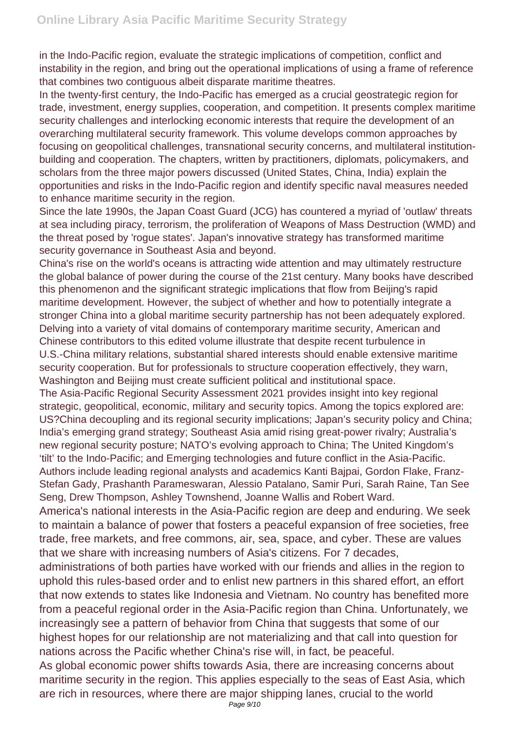in the Indo-Pacific region, evaluate the strategic implications of competition, conflict and instability in the region, and bring out the operational implications of using a frame of reference that combines two contiguous albeit disparate maritime theatres.

In the twenty-first century, the Indo-Pacific has emerged as a crucial geostrategic region for trade, investment, energy supplies, cooperation, and competition. It presents complex maritime security challenges and interlocking economic interests that require the development of an overarching multilateral security framework. This volume develops common approaches by focusing on geopolitical challenges, transnational security concerns, and multilateral institutionbuilding and cooperation. The chapters, written by practitioners, diplomats, policymakers, and scholars from the three major powers discussed (United States, China, India) explain the opportunities and risks in the Indo-Pacific region and identify specific naval measures needed to enhance maritime security in the region.

Since the late 1990s, the Japan Coast Guard (JCG) has countered a myriad of 'outlaw' threats at sea including piracy, terrorism, the proliferation of Weapons of Mass Destruction (WMD) and the threat posed by 'rogue states'. Japan's innovative strategy has transformed maritime security governance in Southeast Asia and beyond.

China's rise on the world's oceans is attracting wide attention and may ultimately restructure the global balance of power during the course of the 21st century. Many books have described this phenomenon and the significant strategic implications that flow from Beijing's rapid maritime development. However, the subject of whether and how to potentially integrate a stronger China into a global maritime security partnership has not been adequately explored. Delving into a variety of vital domains of contemporary maritime security, American and Chinese contributors to this edited volume illustrate that despite recent turbulence in U.S.-China military relations, substantial shared interests should enable extensive maritime security cooperation. But for professionals to structure cooperation effectively, they warn, Washington and Beijing must create sufficient political and institutional space.

The Asia-Pacific Regional Security Assessment 2021 provides insight into key regional strategic, geopolitical, economic, military and security topics. Among the topics explored are: US?China decoupling and its regional security implications; Japan's security policy and China; India's emerging grand strategy; Southeast Asia amid rising great-power rivalry; Australia's new regional security posture; NATO's evolving approach to China; The United Kingdom's 'tilt' to the Indo-Pacific; and Emerging technologies and future conflict in the Asia-Pacific. Authors include leading regional analysts and academics Kanti Bajpai, Gordon Flake, Franz-Stefan Gady, Prashanth Parameswaran, Alessio Patalano, Samir Puri, Sarah Raine, Tan See Seng, Drew Thompson, Ashley Townshend, Joanne Wallis and Robert Ward.

America's national interests in the Asia-Pacific region are deep and enduring. We seek to maintain a balance of power that fosters a peaceful expansion of free societies, free trade, free markets, and free commons, air, sea, space, and cyber. These are values that we share with increasing numbers of Asia's citizens. For 7 decades,

administrations of both parties have worked with our friends and allies in the region to uphold this rules-based order and to enlist new partners in this shared effort, an effort that now extends to states like Indonesia and Vietnam. No country has benefited more from a peaceful regional order in the Asia-Pacific region than China. Unfortunately, we increasingly see a pattern of behavior from China that suggests that some of our highest hopes for our relationship are not materializing and that call into question for nations across the Pacific whether China's rise will, in fact, be peaceful.

As global economic power shifts towards Asia, there are increasing concerns about maritime security in the region. This applies especially to the seas of East Asia, which are rich in resources, where there are major shipping lanes, crucial to the world